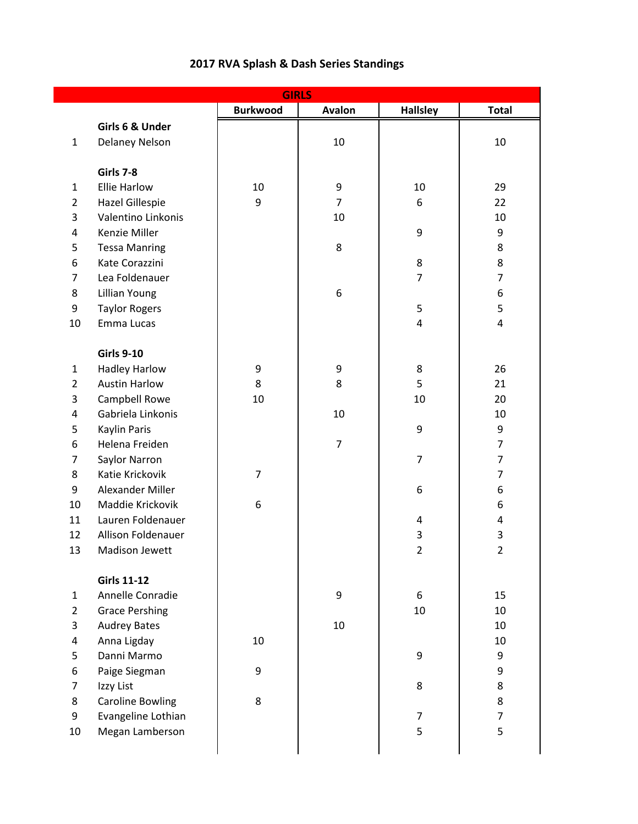## **Burkwood Avalon Hallsley Total Girls 6 & Under** 1 Delaney Nelson | 10 | 10 | 10 **Girls 7-8** 1 Ellie Harlow 10 10 10 9 10 29 2 Hazel Gillespie | 9 | 7 | 6 | 22 3 Valentino Linkonis 10 10 10 10 10 10 4 Kenzie Miller 1990 | 99 5 Tessa Manring 1988 | Second 1988 | Second 1988 | Second 1988 | Second 1988 | Second 1988 | Second 1988 | Second 1988 | Second 1988 | Second 1988 | Second 1988 | Second 1988 | Second 1988 | Second 1988 | Second 1988 | Sec 6 Kate Corazzini 1 8 8 8 7 Lea Foldenauer 7 7 8 Lillian Young 6 6 9 Taylor Rogers 1 1 1 5 5 5 10 Emma Lucas 4 4 **Girls 9-10** 1 Hadley Harlow 1 9 9 9 9 8 26 2 Austin Harlow 1 8 8 8 5 21 3 Campbell Rowe 10 10 10 10 20 4 Gabriela Linkonis 10 10 5 Kaylin Paris 9 9 6 Helena Freiden 1980 (1980) (1981) (1982) (1982) (1982) (1982) (1982) (1982) (1983) (1983) (1984) (1983) (198 7 Saylor Narron 2008 (2012) 2014 12:00:00 12:00:00 12:00:00 12:00:00 12:00:00 12:00:00 12:00:00 12:00:00 12:00 8 Katie Krickovik 7 7 9 Alexander Miller 6 6 10 Maddie Krickovik 6 6 11 Lauren Foldenauer 4 4 12 Allison Foldenauer 3 3 13 Madison Jewett 1 2 2 2 **Girls 11-12** 1 Annelle Conradie 1 1 9 6 15 2 Grace Pershing 2 10 10 10 3 Audrey Bates (10 10 10 10 10 10 4 Anna Ligday 10 10 | 10 | 10 5 Danni Marmo 9 9 6 Paige Siegman 9 9 7 Izzy List 8 8 | 8 8 Caroline Bowling | 8 | | | 8 9 Evangeline Lothian 7 7 10 Megan Lamberson 5 5 **GIRLS**

## **2017 RVA Splash & Dash Series Standings**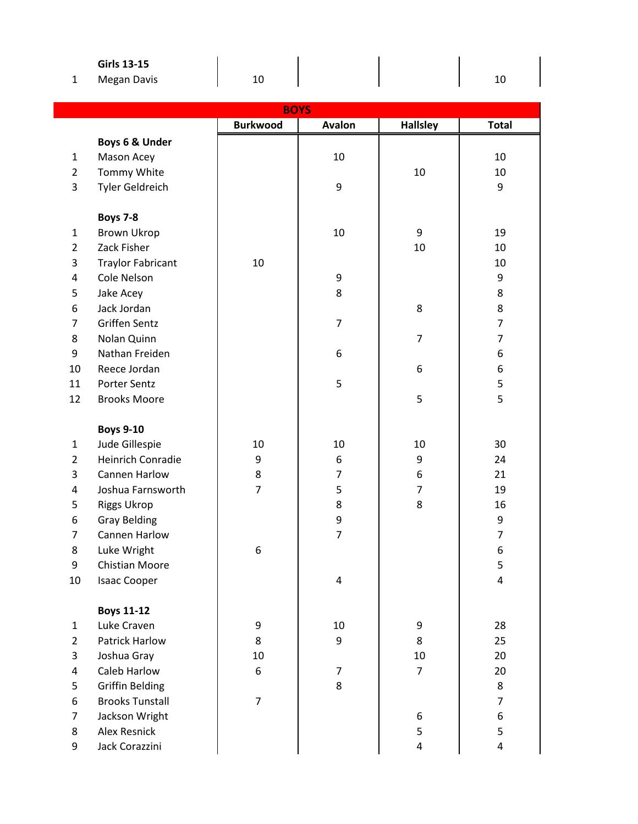|          | <b>Girls 13-15</b> |    |  |                               |
|----------|--------------------|----|--|-------------------------------|
| <u>.</u> | <b>Megan Davis</b> | 10 |  | $\overline{\phantom{a}}$<br>ᅩ |

| <b>BOYS</b>    |                          |                  |                  |                 |                |  |  |
|----------------|--------------------------|------------------|------------------|-----------------|----------------|--|--|
|                |                          | <b>Burkwood</b>  | Avalon           | <b>Hallsley</b> | <b>Total</b>   |  |  |
|                | Boys 6 & Under           |                  |                  |                 |                |  |  |
| $\mathbf{1}$   | Mason Acey               |                  | 10               |                 | 10             |  |  |
| $\overline{2}$ | Tommy White              |                  |                  | 10              | 10             |  |  |
| 3              | Tyler Geldreich          |                  | 9                |                 | 9              |  |  |
|                |                          |                  |                  |                 |                |  |  |
|                | <b>Boys 7-8</b>          |                  |                  |                 |                |  |  |
| $\mathbf{1}$   | <b>Brown Ukrop</b>       |                  | 10               | 9               | 19             |  |  |
| $\overline{2}$ | Zack Fisher              |                  |                  | 10              | 10             |  |  |
| 3              | <b>Traylor Fabricant</b> | 10               |                  |                 | 10             |  |  |
| $\overline{4}$ | Cole Nelson              |                  | $\boldsymbol{9}$ |                 | 9              |  |  |
| 5              | Jake Acey                |                  | 8                |                 | 8              |  |  |
| 6              | Jack Jordan              |                  |                  | 8               | 8              |  |  |
| $\overline{7}$ | <b>Griffen Sentz</b>     |                  | $\overline{7}$   |                 | $\overline{7}$ |  |  |
| 8              | Nolan Quinn              |                  |                  | $\overline{7}$  | $\overline{7}$ |  |  |
| 9              | Nathan Freiden           |                  | 6                |                 | 6              |  |  |
| 10             | Reece Jordan             |                  |                  | 6               | 6              |  |  |
| 11             | Porter Sentz             |                  | 5                |                 | 5              |  |  |
| 12             | <b>Brooks Moore</b>      |                  |                  | 5               | 5              |  |  |
|                |                          |                  |                  |                 |                |  |  |
|                | <b>Boys 9-10</b>         |                  |                  |                 |                |  |  |
| $\mathbf{1}$   | Jude Gillespie           | 10               | 10               | 10              | 30             |  |  |
| $\overline{2}$ | <b>Heinrich Conradie</b> | 9                | 6                | 9               | 24             |  |  |
| 3              | Cannen Harlow            | 8                | $\overline{7}$   | 6               | 21             |  |  |
| 4              | Joshua Farnsworth        | $\overline{7}$   | 5                | $\overline{7}$  | 19             |  |  |
| 5              | <b>Riggs Ukrop</b>       |                  | 8                | 8               | 16             |  |  |
| 6              | <b>Gray Belding</b>      |                  | 9                |                 | 9              |  |  |
| 7              | Cannen Harlow            |                  | $\overline{7}$   |                 | $\overline{7}$ |  |  |
| 8              | Luke Wright              | 6                |                  |                 | 6              |  |  |
| 9              | <b>Chistian Moore</b>    |                  |                  |                 | 5              |  |  |
| 10             | <b>Isaac Cooper</b>      |                  | 4                |                 | 4              |  |  |
|                |                          |                  |                  |                 |                |  |  |
|                | <b>Boys 11-12</b>        |                  |                  |                 |                |  |  |
| $\mathbf{1}$   | Luke Craven              | $\boldsymbol{9}$ | 10               | 9               | 28             |  |  |
| $\overline{2}$ | <b>Patrick Harlow</b>    | 8                | 9                | 8               | 25             |  |  |
| 3              | Joshua Gray              | 10               |                  | 10              | 20             |  |  |
| $\overline{4}$ | Caleb Harlow             | 6                | $\overline{7}$   | $\overline{7}$  | 20             |  |  |
| 5              | <b>Griffin Belding</b>   |                  | 8                |                 | 8              |  |  |
| 6              | <b>Brooks Tunstall</b>   | $\overline{7}$   |                  |                 | $\overline{7}$ |  |  |
| $\overline{7}$ | Jackson Wright           |                  |                  | 6               | 6              |  |  |
| 8              | Alex Resnick             |                  |                  | 5               | 5              |  |  |
| 9              | Jack Corazzini           |                  |                  | 4               | 4              |  |  |